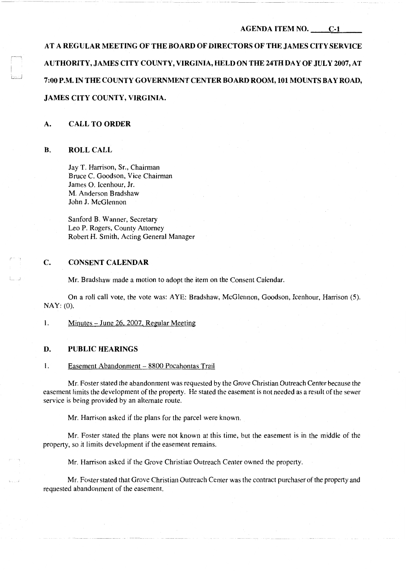## AGENDA ITEM NO. C-1

AT A REGULAR MEETING OF THE BOARD OF DIRECTORS OF THE JAMES CITY SERVICE AUTHORITY, JAMES CITY COUNTY, VIRGINIA, HELD ON THE 24TH DAY OF JULY 2007, AT 7:00 P.M. IN THE COUNTY GOVERNMENT CENTER BOARD ROOM, 101 MOUNTS BAY ROAD, JAMES CITY COUNTY, VIRGINIA.

### A. CALL TO ORDER

### B. ROLL CALL

Jay T. Harrison, Sr., Chairman Bruce C. Goodson, Vice Chairman James 0. Icenhour, Jr. M. Anderson Bradshaw John J. McGlennon

Sanford B. Wanner, Secretary Leo P. Rogers, County Attorney Robert H. Smith, Acting General Manager

# C. CONSENT CALENDAR

Mr. Bradshaw made a motion to adopt the item on the Consent Calendar.

On a roll call vote, the vote was: AYE: Bradshaw, McGlennon, Goodson, Icenhour, Harrison (5). NAY: (0).

1. Minutes – June 26, 2007, Regular Meeting

## D. PUBLIC HEARINGS

#### 1. Easement Abandonment - 8800 Pocahontas Trail

Mr. Foster stated the abandonment was requested by the Grove Christian Outreach Center because the easement limits the development of the property. He stated the easement is not needed as a result of the sewer service is being provided by an alternate route.

Mr. Harrison asked if the plans for the parcel were known.

Mr. Foster stated the plans were not known at this time, but the easement is in the middle of the property, so it limits development if the easement remains.

Mr. Harrison asked if the Grove Christian Outreach Center owned the property.

Mr. Foster stated that Grove Christian Outreach Center was the contract purchaser of the property and requested abandonment of the easement.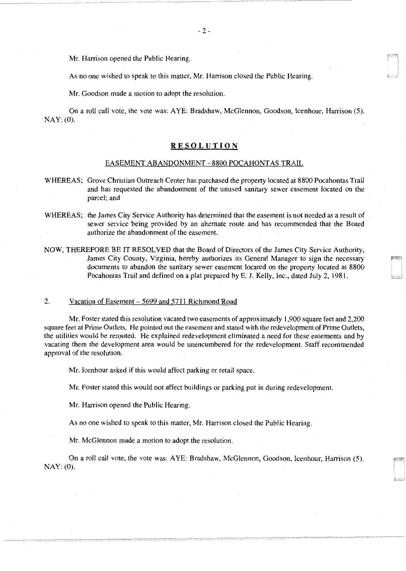Mr. Harrison opened the Public Hearing.

As no one wished to speak to this matter, Mr. Harrison closed the Public Hearing.

Mr. Goodson made a motion to adopt the resolution.

On a roll call vote, the vote was: AYE: Bradshaw, McGlennon, Goodson, Icenhour, Harrison (5). NAY: (0).

## **RESOLUTION**

#### EASEMENT ABANDONMENT - 8800 POCAHONTAS TRAIL

- WHEREAS; Grove Christian Outreach Center has purchased the property located at 8800 Pocahontas Trail and has requested the abandonment of the unused sanitary sewer easement located on the parcel; and
- WHEREAS; the James City Service Authority has determined that the easement is not needed as a result of sewer service being provided by an alternate route and has recommended that the Board authorize the abandonment of the easement.
- NOW, THEREFORE BE IT RESOLVED that the Board of Directors of the James City Service Authority, James City County, Virginia, hereby authorizes its General Manager to sign the necessary documents to abandon the sanitary sewer easement located on the property located at 8800 Pocahontas Trail and defined on a plat prepared by E. J. Kelly, Inc., dated July 2, 1981.

#### 2. Vacation of Easement – 5699 and 5711 Richmond Road

Mr. Foster stated this resolution vacated two easements of approximately 1,900 square feet and 2,200 square feet at Prime Outlets. He pointed out the easement and stated with the redevelopment of Prime Outlets, the utilities would be rerouted. He explained redevelopment eliminated a need for these easements and by vacating them the development area would be unencumbered for the redevelopment. Staff recommended approval of the resolution.

Mr. Icenhour asked if this would affect parking or retail space.

Mr. Foster stated this would not affect buildings or parking put in during redevelopment.

Mr. Harrison opened the Public Hearing.

As no one wished to speak to this matter, Mr. Harrison closed the Public Hearing.

Mr. McGlennon made a motion to adopt the resolution.

On a roll call vote, the vote was: AYE: Bradshaw, McGlennon, Goodson, Icenhour, Harrison (5). NAY: (0).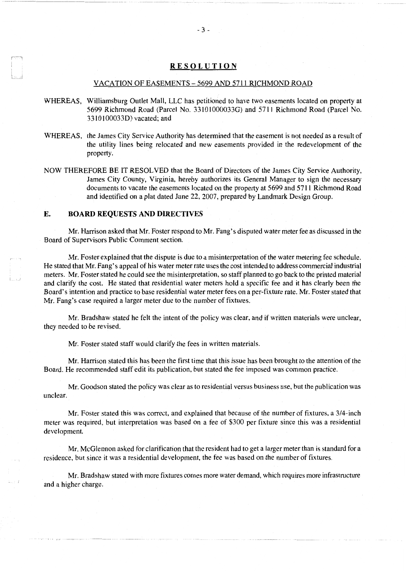# **RESOLUTION**

#### VACATION OF EASEMENTS - 5699 AND 5711 RICHMOND ROAD

- WHEREAS, Williamsburg Outlet Mall, LLC has petitioned to have two easements located on property at 5699 Richmond Road (Parcel No. 33101000033G) and 5711 Richmond Road (Parcel No. 3310100033D) vacated; and
- WHEREAS, the James City Service Authority has determined that the easement is not needed as a result of the utility lines being relocated and new easements provided in the redevelopment of the property.
- NOW THEREFORE BE IT RESOLVED that the Board of Directors of the James City Service Authority, James City County, Virginia, hereby authorizes its General Manager to sign the necessary documents to vacate the easements located on the property at 5699 and 5711 Richmond Road and identified on a plat dated June 22, 2007, prepared by Landmark Design Group.

### **E. BOARD REQUESTS AND DIRECTIVES**

Mr. Harrison asked that Mr. Foster respond to Mr. Fang's disputed water meter fee as discussed in the Board of Supervisors Public Comment section.

Mr. Foster explained that the dispute is due to a misinterpretation of the water metering fee schedule. He stated that Mr. Fang's appeal of his water meter rate uses the cost intended to address commercial industrial meters. Mr. Foster stated he could see the misinterpretation, so staff planned to go back to the printed material and clarify the cost. He stated that residential water meters hold a specific fee and it has clearly been the Board's intention and practice to base residential water meter fees on a per-fixture rate. Mr. Foster stated that Mr. Fang's case required a larger meter due to the number of fixtures.

Mr. Bradshaw stated he felt the intent of the policy was clear, and if written materials were unclear, they needed to be revised.

Mr. Foster stated staff would clarify the fees in written materials.

Mr. Harrison stated this has been the first time that this issue has been brought to the attention of the Board. He recommended staff edit its publication, but stated the fee imposed was common practice.

Mr. Goodson stated the policy was clear as to residential versus business use, but the publication was unclear.

Mr. Foster stated this was correct, and explained that because of the number of fixtures, a 3/4-inch meter was required, but interpretation was based on a fee of \$300 per fixture since this was a residential development.

Mr. McGlennon asked for clarification that the resident had to get a larger meter than is standard for a residence, but since it was a residential development, the fee was based on the number of fixtures.

Mr. Bradshaw stated with more fixtures comes more water demand, which requires more infrastructure and a higher charge.